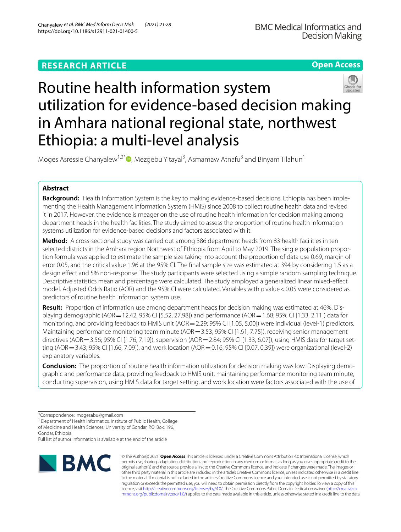# **RESEARCH ARTICLE**





# Routine health information system utilization for evidence-based decision making in Amhara national regional state, northwest Ethiopia: a multi-level analysis

Moges Asressie Chanyalew<sup>1[,](http://orcid.org/0000-0002-9174-1415)2\*</sup><sup>®</sup>, Mezgebu Yitayal<sup>3</sup>, Asmamaw Atnafu<sup>3</sup> and Binyam Tilahun<sup>1</sup>

# **Abstract**

**Background:** Health Information System is the key to making evidence-based decisions. Ethiopia has been implementing the Health Management Information System (HMIS) since 2008 to collect routine health data and revised it in 2017. However, the evidence is meager on the use of routine health information for decision making among department heads in the health facilities. The study aimed to assess the proportion of routine health information systems utilization for evidence-based decisions and factors associated with it.

**Method:** A cross-sectional study was carried out among 386 department heads from 83 health facilities in ten selected districts in the Amhara region Northwest of Ethiopia from April to May 2019. The single population proportion formula was applied to estimate the sample size taking into account the proportion of data use 0.69, margin of error 0.05, and the critical value 1.96 at the 95% CI. The fnal sample size was estimated at 394 by considering 1.5 as a design efect and 5% non-response. The study participants were selected using a simple random sampling technique. Descriptive statistics mean and percentage were calculated. The study employed a generalized linear mixed-efect model. Adjusted Odds Ratio (AOR) and the 95% CI were calculated. Variables with *p* value < 0.05 were considered as predictors of routine health information system use.

**Result:** Proportion of information use among department heads for decision making was estimated at 46%. Displaying demographic (AOR=12.42, 95% CI [5.52, 27.98]) and performance (AOR=1.68; 95% CI [1.33, 2.11]) data for monitoring, and providing feedback to HMIS unit (AOR = 2.29; 95% CI [1.05, 5.00]) were individual (level-1) predictors. Maintaining performance monitoring team minute (AOR = 3.53; 95% CI [1.61, 7.75]), receiving senior management directives (AOR = 3.56; 95% CI [1.76, 7.19]), supervision (AOR = 2.84; 95% CI [1.33, 6.07]), using HMIS data for target setting (AOR = 3.43; 95% CI [1.66, 7.09]), and work location (AOR = 0.16; 95% CI [0.07, 0.39]) were organizational (level-2) explanatory variables.

**Conclusion:** The proportion of routine health information utilization for decision making was low. Displaying demographic and performance data, providing feedback to HMIS unit, maintaining performance monitoring team minute, conducting supervision, using HMIS data for target setting, and work location were factors associated with the use of

<sup>1</sup> Department of Health Informatics, Institute of Public Health, College of Medicine and Health Sciences, University of Gondar, P.O. Box: 196, Gondar, Ethiopia

Full list of author information is available at the end of the article



© The Author(s) 2021. **Open Access** This article is licensed under a Creative Commons Attribution 4.0 International License, which permits use, sharing, adaptation, distribution and reproduction in any medium or format, as long as you give appropriate credit to the original author(s) and the source, provide a link to the Creative Commons licence, and indicate if changes were made. The images or other third party material in this article are included in the article's Creative Commons licence, unless indicated otherwise in a credit line to the material. If material is not included in the article's Creative Commons licence and your intended use is not permitted by statutory regulation or exceeds the permitted use, you will need to obtain permission directly from the copyright holder. To view a copy of this licence, visit [http://creativecommons.org/licenses/by/4.0/.](http://creativecommons.org/licenses/by/4.0/) The Creative Commons Public Domain Dedication waiver ([http://creativeco](http://creativecommons.org/publicdomain/zero/1.0/) [mmons.org/publicdomain/zero/1.0/](http://creativecommons.org/publicdomain/zero/1.0/)) applies to the data made available in this article, unless otherwise stated in a credit line to the data.

<sup>\*</sup>Correspondence: mogesabu@gmail.com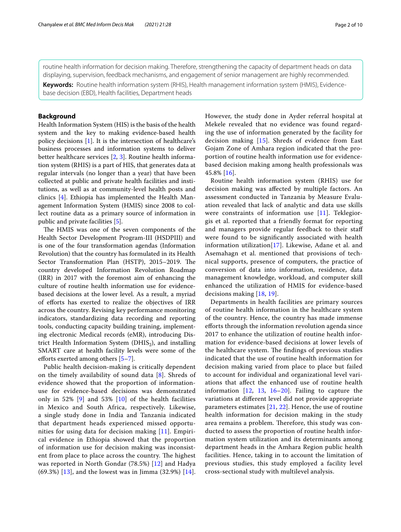routine health information for decision making. Therefore, strengthening the capacity of department heads on data displaying, supervision, feedback mechanisms, and engagement of senior management are highly recommended.

**Keywords:** Routine health information system (RHIS), Health management information system (HMIS), Evidencebase decision (EBD), Health facilities, Department heads

## **Background**

Health Information System (HIS) is the basis of the health system and the key to making evidence-based health policy decisions [\[1](#page-9-0)]. It is the intersection of healthcare's business processes and information systems to deliver better healthcare services [[2,](#page-9-1) [3\]](#page-9-2). Routine health information system (RHIS) is a part of HIS, that generates data at regular intervals (no longer than a year) that have been collected at public and private health facilities and institutions, as well as at community-level health posts and clinics [\[4\]](#page-9-3). Ethiopia has implemented the Health Management Information System (HMIS) since 2008 to collect routine data as a primary source of information in public and private facilities [\[5\]](#page-9-4).

The HMIS was one of the seven components of the Health Sector Development Program-III (HSDPIII) and is one of the four transformation agendas (Information Revolution) that the country has formulated in its Health Sector Transformation Plan (HSTP), 2015–2019. The country developed Information Revolution Roadmap (IRR) in 2017 with the foremost aim of enhancing the culture of routine health information use for evidencebased decisions at the lower level. As a result, a myriad of eforts has exerted to realize the objectives of IRR across the country. Revising key performance monitoring indicators, standardizing data recording and reporting tools, conducting capacity building training, implementing electronic Medical records (eMR), introducing District Health Information System  $(DHIS_2)$ , and installing SMART care at health facility levels were some of the efforts exerted among others [[5](#page-9-4)[–7](#page-9-5)].

Public health decision-making is critically dependent on the timely availability of sound data [\[8](#page-9-6)]. Shreds of evidence showed that the proportion of informationuse for evidence-based decisions was demonstrated only in 52%  $[9]$  $[9]$  and 53%  $[10]$  of the health facilities in Mexico and South Africa, respectively. Likewise, a single study done in India and Tanzania indicated that department heads experienced missed opportunities for using data for decision making [[11\]](#page-9-9). Empirical evidence in Ethiopia showed that the proportion of information use for decision making was inconsistent from place to place across the country. The highest was reported in North Gondar (78.5%) [[12\]](#page-9-10) and Hadya (69.3%) [[13](#page-9-11)], and the lowest was in Jimma (32.9%) [[14\]](#page-9-12). However, the study done in Ayder referral hospital at Mekele revealed that no evidence was found regarding the use of information generated by the facility for decision making [[15\]](#page-9-13). Shreds of evidence from East Gojam Zone of Amhara region indicated that the proportion of routine health information use for evidencebased decision making among health professionals was 45.8% [[16](#page-9-14)].

Routine health information system (RHIS) use for decision making was afected by multiple factors. An assessment conducted in Tanzania by Measure Evaluation revealed that lack of analytic and data use skills were constraints of information use [[11\]](#page-9-9). Teklegiorgis et al. reported that a friendly format for reporting and managers provide regular feedback to their staf were found to be signifcantly associated with health information utilization[\[17\]](#page-9-15). Likewise, Adane et al. and Asemahagn et al. mentioned that provisions of technical supports, presence of computers, the practice of conversion of data into information, residence, data management knowledge, workload, and computer skill enhanced the utilization of HMIS for evidence-based decisions making [\[18](#page-9-16), [19](#page-9-17)].

Departments in health facilities are primary sources of routine health information in the healthcare system of the country. Hence, the country has made immense eforts through the information revolution agenda since 2017 to enhance the utilization of routine health information for evidence-based decisions at lower levels of the healthcare system. The findings of previous studies indicated that the use of routine health information for decision making varied from place to place but failed to account for individual and organizational level variations that afect the enhanced use of routine health information [\[12,](#page-9-10) [13,](#page-9-11) [16](#page-9-14)[–20](#page-9-18)]. Failing to capture the variations at diferent level did not provide appropriate parameters estimates [[21,](#page-9-19) [22\]](#page-9-20). Hence, the use of routine health information for decision making in the study area remains a problem. Therefore, this study was conducted to assess the proportion of routine health information system utilization and its determinants among department heads in the Amhara Region public health facilities. Hence, taking in to account the limitation of previous studies, this study employed a facility level cross-sectional study with multilevel analysis.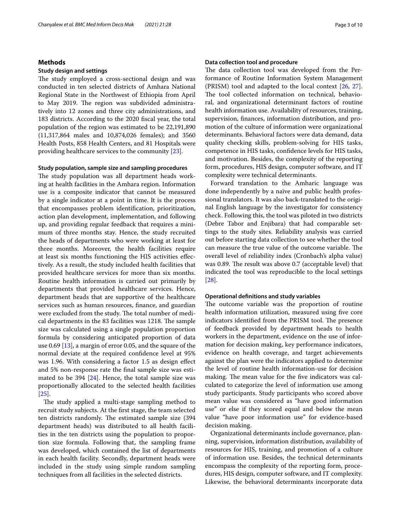## **Methods**

#### **Study design and settings**

The study employed a cross-sectional design and was conducted in ten selected districts of Amhara National Regional State in the Northwest of Ethiopia from April to May 2019. The region was subdivided administratively into 12 zones and three city administrations, and 183 districts. According to the 2020 fscal year, the total population of the region was estimated to be 22,191,890 (11,317,864 males and 10,874,026 females); and 3560 Health Posts, 858 Health Centers, and 81 Hospitals were providing healthcare services to the community [[23](#page-9-21)].

#### **Study population, sample size and sampling procedures**

The study population was all department heads working at health facilities in the Amhara region. Information use is a composite indicator that cannot be measured by a single indicator at a point in time. It is the process that encompasses problem identifcation, prioritization, action plan development, implementation, and following up, and providing regular feedback that requires a minimum of three months stay. Hence, the study recruited the heads of departments who were working at least for three months. Moreover, the health facilities require at least six months functioning the HIS activities efectively. As a result, the study included health facilities that provided healthcare services for more than six months. Routine health information is carried out primarily by departments that provided healthcare services. Hence, department heads that are supportive of the healthcare services such as human resources, fnance, and guardian were excluded from the study. The total number of medical departments in the 83 facilities was 1218. The sample size was calculated using a single population proportion formula by considering anticipated proportion of data use 0.69 [[13\]](#page-9-11), a margin of error 0.05, and the square of the normal deviate at the required confdence level at 95% was 1.96. With considering a factor 1.5 as design efect and 5% non-response rate the fnal sample size was estimated to be 394  $[24]$  $[24]$ . Hence, the total sample size was proportionally allocated to the selected health facilities [[25\]](#page-9-23).

The study applied a multi-stage sampling method to recruit study subjects. At the frst stage, the team selected ten districts randomly. The estimated sample size (394 department heads) was distributed to all health facilities in the ten districts using the population to proportion size formula. Following that, the sampling frame was developed, which contained the list of departments in each health facility. Secondly, department heads were included in the study using simple random sampling techniques from all facilities in the selected districts.

#### **Data collection tool and procedure**

The data collection tool was developed from the Performance of Routine Information System Management (PRISM) tool and adapted to the local context [[26](#page-9-24), [27](#page-9-25)]. The tool collected information on technical, behavioral, and organizational determinant factors of routine health information use. Availability of resources, training, supervision, fnances, information distribution, and promotion of the culture of information were organizational determinants. Behavioral factors were data demand, data quality checking skills, problem-solving for HIS tasks, competence in HIS tasks, confdence levels for HIS tasks, and motivation. Besides, the complexity of the reporting form, procedures, HIS design, computer software, and IT complexity were technical determinants.

Forward translation to the Amharic language was done independently by a naïve and public health professional translators. It was also back-translated to the original English language by the investigator for consistency check. Following this, the tool was piloted in two districts (Debre Tabor and Enjibara) that had comparable settings to the study sites. Reliability analysis was carried out before starting data collection to see whether the tool can measure the true value of the outcome variable. The overall level of reliability index (Cronbach's alpha value) was 0.89. The result was above 0.7 (acceptable level) that indicated the tool was reproducible to the local settings [[28\]](#page-9-26).

#### **Operational defnitions and study variables**

The outcome variable was the proportion of routine health information utilization, measured using five core indicators identified from the PRISM tool. The presence of feedback provided by department heads to health workers in the department, evidence on the use of information for decision making, key performance indicators, evidence on health coverage, and target achievements against the plan were the indicators applied to determine the level of routine health information-use for decision making. The mean value for the five indicators was calculated to categorize the level of information use among study participants. Study participants who scored above mean value was considered as "have good information use" or else if they scored equal and below the mean value "have poor information use" for evidence-based decision making.

Organizational determinants include governance, planning, supervision, information distribution, availability of resources for HIS, training, and promotion of a culture of information use. Besides, the technical determinants encompass the complexity of the reporting form, procedures, HIS design, computer software, and IT complexity. Likewise, the behavioral determinants incorporate data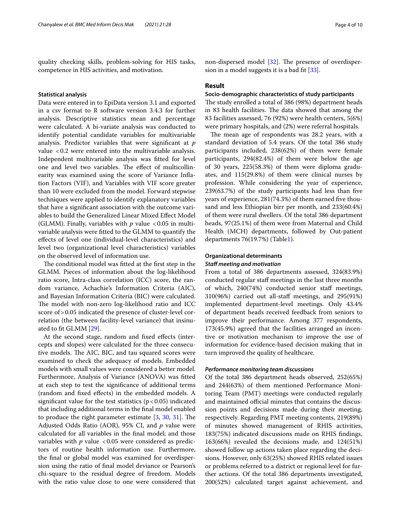quality checking skills, problem-solving for HIS tasks, competence in HIS activities, and motivation.

#### **Statistical analysis**

Data were entered in to EpiData version 3.1 and exported in a csv format to R software version 3.4.3 for further analysis. Descriptive statistics mean and percentage were calculated. A bi-variate analysis was conducted to identify potential candidate variables for multivariable analysis. Predictor variables that were signifcant at *p*  value <0.2 were entered into the multivariable analysis. Independent multivariable analysis was ftted for level one and level two variables. The effect of multicollinearity was examined using the score of Variance Infation Factors (VIF), and Variables with VIF score greater than 10 were excluded from the model. Forward stepwise techniques were applied to identify explanatory variables that have a signifcant association with the outcome variables to build the Generalized Linear Mixed Efect Model (GLMM). Finally, variables with  $p$  value <0.05 in multivariable analysis were ftted to the GLMM to quantify the efects of level one (individual-level characteristics) and level two (organizational level characteristics) variables on the observed level of information use.

The conditional model was fitted at the first step in the GLMM. Pieces of information about the log-likelihood ratio score, Intra-class correlation (ICC) score, the random variance, Achachie's Information Criteria (AIC), and Bayesian Information Criteria (BIC) were calculated. The model with non-zero log-likelihood ratio and ICC score of > 0.05 indicated the presence of cluster-level correlation (the between facility-level variance) that insinuated to ft GLMM [[29\]](#page-9-27).

At the second stage, random and fxed efects (intercepts and slopes) were calculated for the three consecutive models. The AIC, BIC, and tau squared scores were examined to check the adequacy of models. Embedded models with small values were considered a better model. Furthermore, Analysis of Variance (ANOVA) was ftted at each step to test the signifcance of additional terms (random and fxed efects) in the embedded models. A significant value for the test statistics  $(p < 0.05)$  indicated that including additional terms in the fnal model enabled to produce the right parameter estimate  $[3, 30, 31]$  $[3, 30, 31]$  $[3, 30, 31]$  $[3, 30, 31]$  $[3, 30, 31]$  $[3, 30, 31]$  $[3, 30, 31]$ . The Adjusted Odds Ratio (AOR), 95% CI, and *p* value were calculated for all variables in the fnal model; and those variables with  $p$  value  $<0.05$  were considered as predictors of routine health information use. Furthermore, the fnal or global model was examined for overdispersion using the ratio of fnal model deviance or Pearson's chi-square to the residual degree of freedom. Models with the ratio value close to one were considered that

non-dispersed model  $[32]$  $[32]$ . The presence of overdispersion in a model suggests it is a bad ft [[33\]](#page-9-31).

#### **Result**

## **Socio‑demographic characteristics of study participants**

The study enrolled a total of 386 (98%) department heads in 83 health facilities. The data showed that among the 83 facilities assessed, 76 (92%) were health centers, 5(6%) were primary hospitals, and (2%) were referral hospitals.

The mean age of respondents was 28.2 years, with a standard deviation of 5.4 years. Of the total 386 study participants included, 238(62%) of them were female participants, 294(82.4%) of them were below the age of 30 years, 225(58.3%) of them were diploma graduates, and 115(29.8%) of them were clinical nurses by profession. While considering the year of experience, 239(63.7%) of the study participants had less than fve years of experience, 281(74.3%) of them earned five thousand and less Ethiopian birr per month, and 233(60.4%) of them were rural dwellers. Of the total 386 department heads, 97(25.1%) of them were from Maternal and Child Health (MCH) departments, followed by Out-patient departments 76(19.7%) (Table[1\)](#page-4-0).

## **Organizational determinants** *Staf meeting and motivation*

From a total of 386 departments assessed, 324(83.9%) conducted regular staf meetings in the last three months of which, 240(74%) conducted senior staf meetings, 310(96%) carried out all-staf meetings, and 295(91%) implemented department-level meetings. Only 43.4% of department heads received feedback from seniors to improve their performance. Among 377 respondents, 173(45.9%) agreed that the facilities arranged an incentive or motivation mechanism to improve the use of information for evidence-based decision making that in turn improved the quality of healthcare.

#### *Performance monitoring team discussions*

Of the total 386 department heads observed, 252(65%) and 244(63%) of them mentioned Performance Monitoring Team (PMT) meetings were conducted regularly and maintained official minutes that contains the discussion points and decisions made during their meeting, respectively. Regarding PMT meeting contents, 219(89%) of minutes showed management of RHIS activities, 183(75%) indicated discussions made on RHIS fndings, 163(66%) revealed the decisions made, and 124(51%) showed follow up actions taken place regarding the decisions. However, only 63(25%) showed RHIS related issues or problems referred to a district or regional level for further actions. Of the total 386 departments investigated, 200(52%) calculated target against achievement, and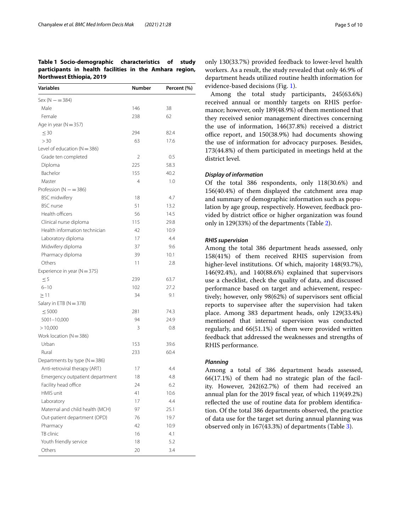# <span id="page-4-0"></span>**Table 1 Socio-demographic characteristics of study participants in health facilities in the Amhara region, Northwest Ethiopia, 2019**

| $Sex(N - = 384)$<br>Male<br>146<br>38<br>62<br>Female<br>238<br>Age in year ( $N = 357$ )<br>$\leq 30$<br>294<br>82.4<br>> 30<br>63<br>17.6<br>Level of education ( $N = 386$ )<br>Grade ten completed<br>2<br>0.5<br>Diploma<br>225<br>58.3<br>Bachelor<br>155<br>40.2<br>Master<br>4<br>1.0<br>Profession ( $N = 386$ )<br><b>BSC</b> midwifery<br>18<br>4.7<br><b>BSC</b> nurse<br>51<br>13.2<br>Health officers<br>56<br>14.5<br>Clinical nurse diploma<br>115<br>29.8<br>Health information technician<br>42<br>10.9<br>Laboratory diploma<br>17<br>4.4<br>Midwifery diploma<br>37<br>9.6<br>Pharmacy diploma<br>39<br>10.1<br>Others<br>11<br>2.8<br>Experience in year ( $N = 375$ )<br>$\leq$ 5<br>239<br>63.7<br>$6 - 10$<br>102<br>27.2<br>34<br>9.1<br>>11<br>Salary in ETB (N = 378)<br>281<br>74.3<br>$\leq 5000$<br>$5001 - 10,000$<br>94<br>24.9<br>>10,000<br>3<br>0.8<br>Work location ( $N = 386$ )<br>Urban<br>153<br>39.6<br>Rural<br>233<br>60.4<br>Departments by type ( $N = 386$ )<br>Anti-retroviral therapy (ART)<br>4.4<br>17<br>Emergency outpatient department<br>4.8<br>18<br>Facility head office<br>24<br>6.2<br>HMIS unit<br>41<br>10.6<br>17<br>Laboratory<br>4.4<br>Maternal and child health (MCH)<br>97<br>25.1<br>19.7<br>Out-patient department (OPD)<br>76<br>42<br>Pharmacy<br>10.9<br>TB clinic<br>16<br>4.1<br>Youth friendly service<br>18<br>5.2<br>Others<br>20<br>3.4 | Variables | Number | Percent (%) |
|----------------------------------------------------------------------------------------------------------------------------------------------------------------------------------------------------------------------------------------------------------------------------------------------------------------------------------------------------------------------------------------------------------------------------------------------------------------------------------------------------------------------------------------------------------------------------------------------------------------------------------------------------------------------------------------------------------------------------------------------------------------------------------------------------------------------------------------------------------------------------------------------------------------------------------------------------------------------------------------------------------------------------------------------------------------------------------------------------------------------------------------------------------------------------------------------------------------------------------------------------------------------------------------------------------------------------------------------------------------------------------------------------------------------|-----------|--------|-------------|
|                                                                                                                                                                                                                                                                                                                                                                                                                                                                                                                                                                                                                                                                                                                                                                                                                                                                                                                                                                                                                                                                                                                                                                                                                                                                                                                                                                                                                      |           |        |             |
|                                                                                                                                                                                                                                                                                                                                                                                                                                                                                                                                                                                                                                                                                                                                                                                                                                                                                                                                                                                                                                                                                                                                                                                                                                                                                                                                                                                                                      |           |        |             |
|                                                                                                                                                                                                                                                                                                                                                                                                                                                                                                                                                                                                                                                                                                                                                                                                                                                                                                                                                                                                                                                                                                                                                                                                                                                                                                                                                                                                                      |           |        |             |
|                                                                                                                                                                                                                                                                                                                                                                                                                                                                                                                                                                                                                                                                                                                                                                                                                                                                                                                                                                                                                                                                                                                                                                                                                                                                                                                                                                                                                      |           |        |             |
|                                                                                                                                                                                                                                                                                                                                                                                                                                                                                                                                                                                                                                                                                                                                                                                                                                                                                                                                                                                                                                                                                                                                                                                                                                                                                                                                                                                                                      |           |        |             |
|                                                                                                                                                                                                                                                                                                                                                                                                                                                                                                                                                                                                                                                                                                                                                                                                                                                                                                                                                                                                                                                                                                                                                                                                                                                                                                                                                                                                                      |           |        |             |
|                                                                                                                                                                                                                                                                                                                                                                                                                                                                                                                                                                                                                                                                                                                                                                                                                                                                                                                                                                                                                                                                                                                                                                                                                                                                                                                                                                                                                      |           |        |             |
|                                                                                                                                                                                                                                                                                                                                                                                                                                                                                                                                                                                                                                                                                                                                                                                                                                                                                                                                                                                                                                                                                                                                                                                                                                                                                                                                                                                                                      |           |        |             |
|                                                                                                                                                                                                                                                                                                                                                                                                                                                                                                                                                                                                                                                                                                                                                                                                                                                                                                                                                                                                                                                                                                                                                                                                                                                                                                                                                                                                                      |           |        |             |
|                                                                                                                                                                                                                                                                                                                                                                                                                                                                                                                                                                                                                                                                                                                                                                                                                                                                                                                                                                                                                                                                                                                                                                                                                                                                                                                                                                                                                      |           |        |             |
|                                                                                                                                                                                                                                                                                                                                                                                                                                                                                                                                                                                                                                                                                                                                                                                                                                                                                                                                                                                                                                                                                                                                                                                                                                                                                                                                                                                                                      |           |        |             |
|                                                                                                                                                                                                                                                                                                                                                                                                                                                                                                                                                                                                                                                                                                                                                                                                                                                                                                                                                                                                                                                                                                                                                                                                                                                                                                                                                                                                                      |           |        |             |
|                                                                                                                                                                                                                                                                                                                                                                                                                                                                                                                                                                                                                                                                                                                                                                                                                                                                                                                                                                                                                                                                                                                                                                                                                                                                                                                                                                                                                      |           |        |             |
|                                                                                                                                                                                                                                                                                                                                                                                                                                                                                                                                                                                                                                                                                                                                                                                                                                                                                                                                                                                                                                                                                                                                                                                                                                                                                                                                                                                                                      |           |        |             |
|                                                                                                                                                                                                                                                                                                                                                                                                                                                                                                                                                                                                                                                                                                                                                                                                                                                                                                                                                                                                                                                                                                                                                                                                                                                                                                                                                                                                                      |           |        |             |
|                                                                                                                                                                                                                                                                                                                                                                                                                                                                                                                                                                                                                                                                                                                                                                                                                                                                                                                                                                                                                                                                                                                                                                                                                                                                                                                                                                                                                      |           |        |             |
|                                                                                                                                                                                                                                                                                                                                                                                                                                                                                                                                                                                                                                                                                                                                                                                                                                                                                                                                                                                                                                                                                                                                                                                                                                                                                                                                                                                                                      |           |        |             |
|                                                                                                                                                                                                                                                                                                                                                                                                                                                                                                                                                                                                                                                                                                                                                                                                                                                                                                                                                                                                                                                                                                                                                                                                                                                                                                                                                                                                                      |           |        |             |
|                                                                                                                                                                                                                                                                                                                                                                                                                                                                                                                                                                                                                                                                                                                                                                                                                                                                                                                                                                                                                                                                                                                                                                                                                                                                                                                                                                                                                      |           |        |             |
|                                                                                                                                                                                                                                                                                                                                                                                                                                                                                                                                                                                                                                                                                                                                                                                                                                                                                                                                                                                                                                                                                                                                                                                                                                                                                                                                                                                                                      |           |        |             |
|                                                                                                                                                                                                                                                                                                                                                                                                                                                                                                                                                                                                                                                                                                                                                                                                                                                                                                                                                                                                                                                                                                                                                                                                                                                                                                                                                                                                                      |           |        |             |
|                                                                                                                                                                                                                                                                                                                                                                                                                                                                                                                                                                                                                                                                                                                                                                                                                                                                                                                                                                                                                                                                                                                                                                                                                                                                                                                                                                                                                      |           |        |             |
|                                                                                                                                                                                                                                                                                                                                                                                                                                                                                                                                                                                                                                                                                                                                                                                                                                                                                                                                                                                                                                                                                                                                                                                                                                                                                                                                                                                                                      |           |        |             |
|                                                                                                                                                                                                                                                                                                                                                                                                                                                                                                                                                                                                                                                                                                                                                                                                                                                                                                                                                                                                                                                                                                                                                                                                                                                                                                                                                                                                                      |           |        |             |
|                                                                                                                                                                                                                                                                                                                                                                                                                                                                                                                                                                                                                                                                                                                                                                                                                                                                                                                                                                                                                                                                                                                                                                                                                                                                                                                                                                                                                      |           |        |             |
|                                                                                                                                                                                                                                                                                                                                                                                                                                                                                                                                                                                                                                                                                                                                                                                                                                                                                                                                                                                                                                                                                                                                                                                                                                                                                                                                                                                                                      |           |        |             |
|                                                                                                                                                                                                                                                                                                                                                                                                                                                                                                                                                                                                                                                                                                                                                                                                                                                                                                                                                                                                                                                                                                                                                                                                                                                                                                                                                                                                                      |           |        |             |
|                                                                                                                                                                                                                                                                                                                                                                                                                                                                                                                                                                                                                                                                                                                                                                                                                                                                                                                                                                                                                                                                                                                                                                                                                                                                                                                                                                                                                      |           |        |             |
|                                                                                                                                                                                                                                                                                                                                                                                                                                                                                                                                                                                                                                                                                                                                                                                                                                                                                                                                                                                                                                                                                                                                                                                                                                                                                                                                                                                                                      |           |        |             |
|                                                                                                                                                                                                                                                                                                                                                                                                                                                                                                                                                                                                                                                                                                                                                                                                                                                                                                                                                                                                                                                                                                                                                                                                                                                                                                                                                                                                                      |           |        |             |
|                                                                                                                                                                                                                                                                                                                                                                                                                                                                                                                                                                                                                                                                                                                                                                                                                                                                                                                                                                                                                                                                                                                                                                                                                                                                                                                                                                                                                      |           |        |             |
|                                                                                                                                                                                                                                                                                                                                                                                                                                                                                                                                                                                                                                                                                                                                                                                                                                                                                                                                                                                                                                                                                                                                                                                                                                                                                                                                                                                                                      |           |        |             |
|                                                                                                                                                                                                                                                                                                                                                                                                                                                                                                                                                                                                                                                                                                                                                                                                                                                                                                                                                                                                                                                                                                                                                                                                                                                                                                                                                                                                                      |           |        |             |
|                                                                                                                                                                                                                                                                                                                                                                                                                                                                                                                                                                                                                                                                                                                                                                                                                                                                                                                                                                                                                                                                                                                                                                                                                                                                                                                                                                                                                      |           |        |             |
|                                                                                                                                                                                                                                                                                                                                                                                                                                                                                                                                                                                                                                                                                                                                                                                                                                                                                                                                                                                                                                                                                                                                                                                                                                                                                                                                                                                                                      |           |        |             |
|                                                                                                                                                                                                                                                                                                                                                                                                                                                                                                                                                                                                                                                                                                                                                                                                                                                                                                                                                                                                                                                                                                                                                                                                                                                                                                                                                                                                                      |           |        |             |
|                                                                                                                                                                                                                                                                                                                                                                                                                                                                                                                                                                                                                                                                                                                                                                                                                                                                                                                                                                                                                                                                                                                                                                                                                                                                                                                                                                                                                      |           |        |             |
|                                                                                                                                                                                                                                                                                                                                                                                                                                                                                                                                                                                                                                                                                                                                                                                                                                                                                                                                                                                                                                                                                                                                                                                                                                                                                                                                                                                                                      |           |        |             |
|                                                                                                                                                                                                                                                                                                                                                                                                                                                                                                                                                                                                                                                                                                                                                                                                                                                                                                                                                                                                                                                                                                                                                                                                                                                                                                                                                                                                                      |           |        |             |
|                                                                                                                                                                                                                                                                                                                                                                                                                                                                                                                                                                                                                                                                                                                                                                                                                                                                                                                                                                                                                                                                                                                                                                                                                                                                                                                                                                                                                      |           |        |             |
|                                                                                                                                                                                                                                                                                                                                                                                                                                                                                                                                                                                                                                                                                                                                                                                                                                                                                                                                                                                                                                                                                                                                                                                                                                                                                                                                                                                                                      |           |        |             |
|                                                                                                                                                                                                                                                                                                                                                                                                                                                                                                                                                                                                                                                                                                                                                                                                                                                                                                                                                                                                                                                                                                                                                                                                                                                                                                                                                                                                                      |           |        |             |
|                                                                                                                                                                                                                                                                                                                                                                                                                                                                                                                                                                                                                                                                                                                                                                                                                                                                                                                                                                                                                                                                                                                                                                                                                                                                                                                                                                                                                      |           |        |             |
|                                                                                                                                                                                                                                                                                                                                                                                                                                                                                                                                                                                                                                                                                                                                                                                                                                                                                                                                                                                                                                                                                                                                                                                                                                                                                                                                                                                                                      |           |        |             |

only 130(33.7%) provided feedback to lower-level health workers. As a result, the study revealed that only 46.9% of department heads utilized routine health information for evidence-based decisions (Fig. [1](#page-5-0)).

Among the total study participants, 245(63.6%) received annual or monthly targets on RHIS performance; however, only 189(48.9%) of them mentioned that they received senior management directives concerning the use of information, 146(37.8%) received a district office report, and  $150(38.9%)$  had documents showing the use of information for advocacy purposes. Besides, 173(44.8%) of them participated in meetings held at the district level.

#### *Display of information*

Of the total 386 respondents, only 118(30.6%) and 156(40.4%) of them displayed the catchment area map and summary of demographic information such as population by age group, respectively. However, feedback provided by district office or higher organization was found only in 129(33%) of the departments (Table [2\)](#page-5-1).

#### *RHIS supervision*

Among the total 386 department heads assessed, only 158(41%) of them received RHIS supervision from higher-level institutions. Of which, majority 148(93.7%), 146(92.4%), and 140(88.6%) explained that supervisors use a checklist, check the quality of data, and discussed performance based on target and achievement, respectively; however, only 98(62%) of supervisors sent official reports to supervisee after the supervision had taken place. Among 383 department heads, only 129(33.4%) mentioned that internal supervision was conducted regularly, and 66(51.1%) of them were provided written feedback that addressed the weaknesses and strengths of RHIS performance.

#### *Planning*

Among a total of 386 department heads assessed, 66(17.1%) of them had no strategic plan of the facility. However, 242(62.7%) of them had received an annual plan for the 2019 fscal year, of which 119(49.2%) refected the use of routine data for problem identifcation. Of the total 386 departments observed, the practice of data use for the target set during annual planning was observed only in 167(43.3%) of departments (Table [3](#page-5-2)).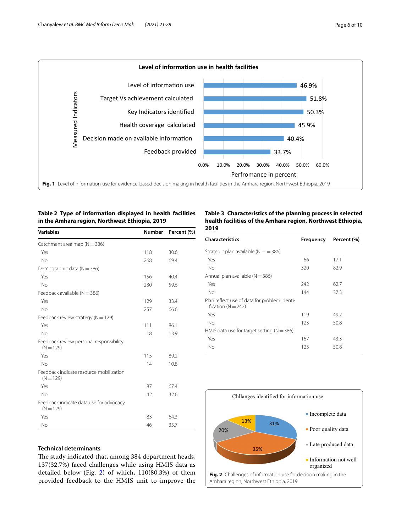

# <span id="page-5-1"></span><span id="page-5-0"></span>**Table 2 Type of information displayed in health facilities in the Amhara region, Northwest Ethiopia, 2019**

| <b>Variables</b>                                       | Number | Percent (%) |
|--------------------------------------------------------|--------|-------------|
| Catchment area map ( $N = 386$ )                       |        |             |
| Yes                                                    | 118    | 30.6        |
| No                                                     | 268    | 69.4        |
| Demographic data ( $N = 386$ )                         |        |             |
| Yes                                                    | 156    | 40.4        |
| No                                                     | 230    | 59.6        |
| Feedback available ( $N = 386$ )                       |        |             |
| Yes                                                    | 129    | 33.4        |
| No                                                     | 257    | 66.6        |
| Feedback review strategy ( $N = 129$ )                 |        |             |
| Yes                                                    | 111    | 86.1        |
| No                                                     | 18     | 13.9        |
| Feedback review personal responsibility<br>$(N = 129)$ |        |             |
| Yes                                                    | 115    | 89.2        |
| No                                                     | 14     | 10.8        |
| Feedback indicate resource mobilization<br>$(N = 129)$ |        |             |
| Yes                                                    | 87     | 67.4        |
| No                                                     | 42     | 32.6        |
| Feedback indicate data use for advocacy<br>$(N = 129)$ |        |             |
| Yes                                                    | 83     | 64.3        |
| No                                                     | 46     | 35.7        |
|                                                        |        |             |

## <span id="page-5-2"></span>**Table 3 Characteristics of the planning process in selected health facilities of the Amhara region, Northwest Ethiopia, 2019**

| <b>Frequency</b> | Percent (%) |
|------------------|-------------|
|                  |             |
| 66               | 17.1        |
| 320              | 82.9        |
|                  |             |
| 242              | 62.7        |
| 144              | 37.3        |
|                  |             |
| 119              | 49.2        |
| 123              | 50.8        |
|                  |             |
| 167              | 43.3        |
| 123              | 50.8        |
|                  |             |

<span id="page-5-3"></span>

# **Technical determinants**

The study indicated that, among 384 department heads, 137(32.7%) faced challenges while using HMIS data as detailed below (Fig. [2](#page-5-3)) of which, 110(80.3%) of them provided feedback to the HMIS unit to improve the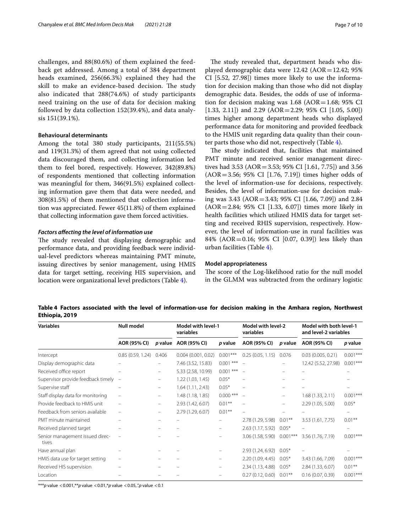challenges, and 88(80.6%) of them explained the feedback get addressed. Among a total of 384 department heads examined, 256(66.3%) explained they had the skill to make an evidence-based decision. The study also indicated that 288(74.6%) of study participants need training on the use of data for decision making followed by data collection 152(39.4%), and data analysis 151(39.1%).

### **Behavioural determinants**

Among the total 380 study participants, 211(55.5%) and 119(31.3%) of them agreed that not using collected data discouraged them, and collecting information led them to feel bored, respectively. However, 342(89.8%) of respondents mentioned that collecting information was meaningful for them, 346(91.5%) explained collecting information gave them that data were needed, and 308(81.5%) of them mentioned that collection information was appreciated. Fewer 45(11.8%) of them explained that collecting information gave them forced activities.

### *Factors afecting the level of information use*

The study revealed that displaying demographic and performance data, and providing feedback were individual-level predictors whereas maintaining PMT minute, issuing directives by senior management, using HMIS data for target setting, receiving HIS supervision, and location were organizational level predictors (Table [4\)](#page-6-0).

The study revealed that, department heads who displayed demographic data were  $12.42$  (AOR = 12.42; 95% CI [5.52, 27.98]) times more likely to use the information for decision making than those who did not display demographic data. Besides, the odds of use of information for decision making was  $1.68$  (AOR=1.68; 95% CI [1.33, 2.11]) and 2.29  $(AOR = 2.29; 95\% \text{ CI}$  [1.05, 5.00]) times higher among department heads who displayed performance data for monitoring and provided feedback to the HMIS unit regarding data quality than their counter parts those who did not, respectively (Table [4](#page-6-0)).

The study indicated that, facilities that maintained PMT minute and received senior management directives had 3.53 (AOR=3.53; 95% CI [1.61, 7.75]) and 3.56 (AOR=3.56; 95% CI [1.76, 7.19]) times higher odds of the level of information-use for decisions, respectively. Besides, the level of information-use for decision making was 3.43 (AOR=3.43; 95% CI [1.66, 7.09]) and 2.84 (AOR=2.84; 95% CI [1.33, 6.07]) times more likely in health facilities which utilized HMIS data for target setting and received RHIS supervision, respectively. However, the level of information-use in rural facilities was 84% (AOR=0.16; 95% CI [0.07, 0.39]) less likely than urban facilities (Table [4](#page-6-0)).

#### **Model appropriateness**

The score of the Log-likelihood ratio for the null model in the GLMM was subtracted from the ordinary logistic

<span id="page-6-0"></span>**Table 4 Factors associated with the level of information-use for decision making in the Amhara region, Northwest Ethiopia, 2019**

| <b>Variables</b>                         | <b>Null model</b> |                                | <b>Model with level-1</b><br>variables |             | Model with level-2<br>variables |                          | Model with both level-1<br>and level-2 variables |            |
|------------------------------------------|-------------------|--------------------------------|----------------------------------------|-------------|---------------------------------|--------------------------|--------------------------------------------------|------------|
|                                          | AOR (95% CI)      |                                | p value AOR (95% CI)                   | p value     | AOR (95% CI)                    | p value                  | AOR (95% CI)                                     | p value    |
| Intercept                                | 0.85(0.59, 1.24)  | 0.406                          | 0.004(0.001, 0.02)                     | $0.001***$  | 0.25(0.05, 1.15)                | 0.076                    | 0.03(0.005, 0.21)                                | $0.001***$ |
| Display demographic data                 |                   |                                | 7.46 (3.52, 15.83)                     | $0.001$ *** |                                 |                          | 12.42 (5.52, 27.98)                              | $0.001***$ |
| Received office report                   |                   | -                              | 5.33 (2.58, 10.99)                     | $0.001$ *** |                                 |                          |                                                  |            |
| Supervisor provide feedback timely -     |                   | -                              | 1.22(1.03, 1.45)                       | $0.05*$     |                                 |                          |                                                  |            |
| Supervise staff                          |                   | -                              | 1.64(1.11, 2.43)                       | $0.05*$     |                                 |                          |                                                  |            |
| Staff display data for monitoring        |                   | -                              | 1.48 (1.18, 1.85)                      | $0.000$ *** | $\equiv$                        | $\overline{\phantom{m}}$ | 1.68(1.33, 2.11)                                 | $0.001***$ |
| Provide feedback to HMIS unit            |                   | -                              | 2.93 (1.42, 6.07)                      | $0.01***$   |                                 | $\overline{\phantom{m}}$ | 2.29 (1.05, 5.00)                                | $0.05*$    |
| Feedback from seniors available          |                   | $\qquad \qquad \longleftarrow$ | 2.79 (1.29, 6.07)                      | $0.01***$   |                                 |                          |                                                  |            |
| PMT minute maintained                    |                   |                                |                                        |             | 2.78 (1.29, 5.98)               | $0.01***$                | 3.53 (1.61, 7.75)                                | $0.01***$  |
| Received planned target                  |                   |                                |                                        |             | 2.63 (1.17, 5.92)               | $0.05*$                  |                                                  | -          |
| Senior management issued direc-<br>tives |                   |                                |                                        | -           | 3.06 (1.58, 5.90)               | $0.001***$               | 3.56 (1.76, 7.19)                                | $0.001***$ |
| Have annual plan                         |                   |                                |                                        |             | 2.93 (1.24, 6.92)               | $0.05*$                  |                                                  |            |
| HMIS data use for target setting         |                   |                                |                                        |             | 2.20(1.09, 4.45)                | $0.05*$                  | 3.43 (1.66, 7.09)                                | $0.001***$ |
| Received HIS supervision                 |                   |                                |                                        |             | 2.34(1.13, 4.88)                | $0.05*$                  | 2.84 (1.33, 6.07)                                | $0.01***$  |
| Location                                 |                   |                                |                                        |             | 0.27(0.12, 0.60)                | $0.01***$                | 0.16(0.07, 0.39)                                 | $0.001***$ |

\*\*\**p* value <0.001,\*\**p* value <0.01,\**p* value <0.05, '.'*p* value <0.1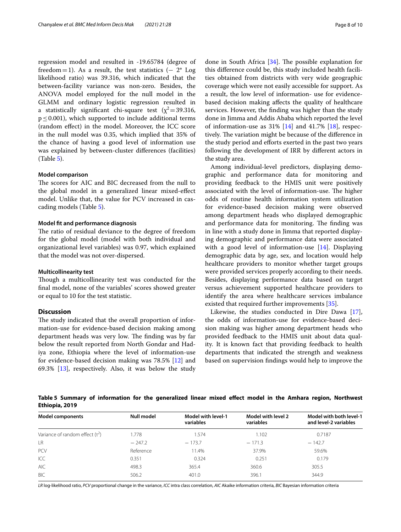regression model and resulted in -19.65784 (degree of freedom=1). As a result, the test statistics  $(-2^*$  Log likelihood ratio) was 39.316, which indicated that the between-facility variance was non-zero. Besides, the ANOVA model employed for the null model in the GLMM and ordinary logistic regression resulted in a statistically significant chi-square test  $(x^2=39.316,$  $p < 0.001$ ), which supported to include additional terms (random efect) in the model. Moreover, the ICC score in the null model was 0.35, which implied that 35% of the chance of having a good level of information use was explained by between-cluster diferences (facilities) (Table [5](#page-7-0)).

#### **Model comparison**

The scores for AIC and BIC decreased from the null to the global model in a generalized linear mixed-efect model. Unlike that, the value for PCV increased in cascading models (Table [5\)](#page-7-0).

#### **Model ft and performance diagnosis**

The ratio of residual deviance to the degree of freedom for the global model (model with both individual and organizational level variables) was 0.97, which explained that the model was not over-dispersed.

#### **Multicollinearity test**

Though a multicollinearity test was conducted for the fnal model, none of the variables' scores showed greater or equal to 10 for the test statistic.

# **Discussion**

The study indicated that the overall proportion of information-use for evidence-based decision making among department heads was very low. The finding was by far below the result reported from North Gondar and Hadiya zone, Ethiopia where the level of information-use for evidence-based decision making was 78.5% [[12\]](#page-9-10) and 69.3% [[13\]](#page-9-11), respectively. Also, it was below the study

done in South Africa  $[34]$  $[34]$ . The possible explanation for this diference could be, this study included health facilities obtained from districts with very wide geographic coverage which were not easily accessible for support. As a result, the low level of information- use for evidencebased decision making afects the quality of healthcare services. However, the fnding was higher than the study done in Jimma and Addis Ababa which reported the level of information-use as  $31\%$  [[14\]](#page-9-12) and  $41.7\%$  [[18](#page-9-16)], respectively. The variation might be because of the difference in the study period and efforts exerted in the past two years following the development of IRR by diferent actors in the study area.

Among individual-level predictors, displaying demographic and performance data for monitoring and providing feedback to the HMIS unit were positively associated with the level of information-use. The higher odds of routine health information system utilization for evidence-based decision making were observed among department heads who displayed demographic and performance data for monitoring. The finding was in line with a study done in Jimma that reported displaying demographic and performance data were associated with a good level of information-use [[14\]](#page-9-12). Displaying demographic data by age, sex, and location would help healthcare providers to monitor whether target groups were provided services properly according to their needs. Besides, displaying performance data based on target versus achievement supported healthcare providers to identify the area where healthcare services imbalance existed that required further improvements [[35](#page-9-33)].

Likewise, the studies conducted in Dire Dawa [\[17](#page-9-15)], the odds of information-use for evidence-based decision making was higher among department heads who provided feedback to the HMIS unit about data quality. It is known fact that providing feedback to health departments that indicated the strength and weakness based on supervision fndings would help to improve the

<span id="page-7-0"></span>**Table 5 Summary of information for the generalized linear mixed efect model in the Amhara region, Northwest Ethiopia, 2019**

| <b>Model components</b>              | <b>Null model</b> | Model with level-1<br>variables | Model with level 2<br>variables | Model with both level-1<br>and level-2 variables |
|--------------------------------------|-------------------|---------------------------------|---------------------------------|--------------------------------------------------|
| Variance of random effect $(\tau^2)$ | 1.778             | 1.574                           | 1.102                           | 0.7187                                           |
| LR                                   | $-247.2$          | $-173.7$                        | $-171.3$                        | $-142.7$                                         |
| PCV                                  | Reference         | 11.4%                           | 37.9%                           | 59.6%                                            |
| ICC                                  | 0.351             | 0.324                           | 0.251                           | 0.179                                            |
| <b>AIC</b>                           | 498.3             | 365.4                           | 360.6                           | 305.5                                            |
| <b>BIC</b>                           | 506.2             | 401.0                           | 396.1                           | 344.9                                            |

*LR* log-likelihood ratio, *PCV* proportional change in the variance, *ICC* intra class correlation, *AIC* Akaike information criteria, *BIC* Bayesian information criteria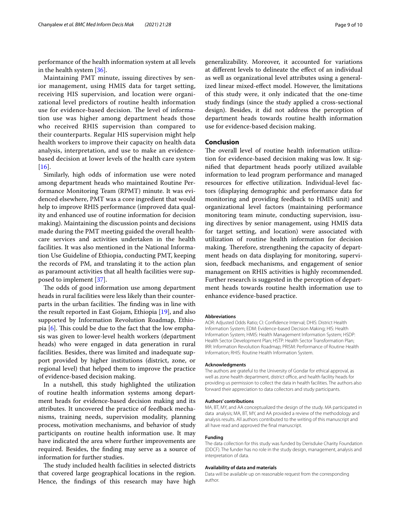performance of the health information system at all levels in the health system [[36\]](#page-9-34).

Maintaining PMT minute, issuing directives by senior management, using HMIS data for target setting, receiving HIS supervision, and location were organizational level predictors of routine health information use for evidence-based decision. The level of information use was higher among department heads those who received RHIS supervision than compared to their counterparts. Regular HIS supervision might help health workers to improve their capacity on health data analysis, interpretation, and use to make an evidencebased decision at lower levels of the health care system  $[16]$  $[16]$  $[16]$ .

Similarly, high odds of information use were noted among department heads who maintained Routine Performance Monitoring Team (RPMT) minute. It was evidenced elsewhere, PMT was a core ingredient that would help to improve RHIS performance (improved data quality and enhanced use of routine information for decision making). Maintaining the discussion points and decisions made during the PMT meeting guided the overall healthcare services and activities undertaken in the health facilities. It was also mentioned in the National Information Use Guideline of Ethiopia, conducting PMT, keeping the records of PM, and translating it to the action plan as paramount activities that all health facilities were supposed to implement [[37\]](#page-9-35).

The odds of good information use among department heads in rural facilities were less likely than their counterparts in the urban facilities. The finding was in line with the result reported in East Gojam, Ethiopia [[19\]](#page-9-17), and also supported by Information Revolution Roadmap, Ethiopia  $[6]$  $[6]$ . This could be due to the fact that the low emphasis was given to lower-level health workers (department heads) who were engaged in data generation in rural facilities. Besides, there was limited and inadequate support provided by higher institutions (district, zone, or regional level) that helped them to improve the practice of evidence-based decision making.

In a nutshell, this study highlighted the utilization of routine health information systems among department heads for evidence-based decision making and its attributes. It uncovered the practice of feedback mechanisms, training needs, supervision modality, planning process, motivation mechanisms, and behavior of study participants on routine health information use. It may have indicated the area where further improvements are required. Besides, the fnding may serve as a source of information for further studies.

The study included health facilities in selected districts that covered large geographical locations in the region. Hence, the fndings of this research may have high generalizability. Moreover, it accounted for variations at diferent levels to delineate the efect of an individual as well as organizational level attributes using a generalized linear mixed-efect model. However, the limitations of this study were, it only indicated that the one-time study fndings (since the study applied a cross-sectional design). Besides, it did not address the perception of department heads towards routine health information use for evidence-based decision making.

## **Conclusion**

The overall level of routine health information utilization for evidence-based decision making was low. It signifed that department heads poorly utilized available information to lead program performance and managed resources for efective utilization. Individual-level factors (displaying demographic and performance data for monitoring and providing feedback to HMIS unit) and organizational level factors (maintaining performance monitoring team minute, conducting supervision, issuing directives by senior management, using HMIS data for target setting, and location) were associated with utilization of routine health information for decision making. Therefore, strengthening the capacity of department heads on data displaying for monitoring, supervision, feedback mechanisms, and engagement of senior management on RHIS activities is highly recommended. Further research is suggested in the perception of department heads towards routine health information use to enhance evidence-based practice.

#### **Abbreviations**

AOR: Adjusted Odds Ratio; CI: Confdence Interval; DHIS: District Health Information System; EDM: Evidence-based Decision Making; HIS: Health Information System; HMIS: Health Management Information System; HSDP: Health Sector Development Plan; HSTP: Health Sector Transformation Plan; IRR: Information Revolution Roadmap; PRISM: Performance of Routine Health Information; RHIS: Routine Health Information System.

#### **Acknowledgments**

The authors are grateful to the University of Gondar for ethical approval, as well as zone health department, district office, and health facility heads for providing us permission to collect the data in health facilities. The authors also forward their appreciation to data collectors and study participants.

#### **Authors' contributions**

MA, BT, MY, and AA conceptualized the design of the study. MA participated in data analysis; MA, BT, MY, and AA provided a review of the methodology and analysis results. All authors contributed to the writing of this manuscript and all have read and approved the fnal manuscript.

#### **Funding**

The data collection for this study was funded by Derisduke Charity Foundation (DDCF). The funder has no role in the study design, management, analysis and interpretation of data.

#### **Availability of data and materials**

Data will be available up on reasonable request from the corresponding author.